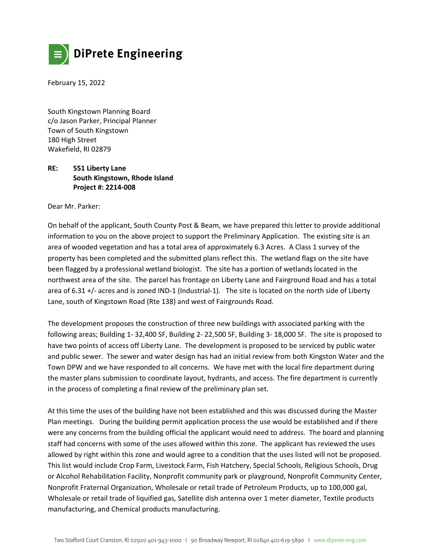

February 15, 2022

South Kingstown Planning Board c/o Jason Parker, Principal Planner Town of South Kingstown 180 High Street Wakefield, RI 02879

## **RE: 551 Liberty Lane South Kingstown, Rhode Island Project #: 2214-008**

Dear Mr. Parker:

On behalf of the applicant, South County Post & Beam, we have prepared this letter to provide additional information to you on the above project to support the Preliminary Application. The existing site is an area of wooded vegetation and has a total area of approximately 6.3 Acres. A Class 1 survey of the property has been completed and the submitted plans reflect this. The wetland flags on the site have been flagged by a professional wetland biologist. The site has a portion of wetlands located in the northwest area of the site. The parcel has frontage on Liberty Lane and Fairground Road and has a total area of 6.31 +/- acres and is zoned IND-1 (Industrial-1). The site is located on the north side of Liberty Lane, south of Kingstown Road (Rte 138) and west of Fairgrounds Road.

The development proposes the construction of three new buildings with associated parking with the following areas; Building 1- 32,400 SF, Building 2- 22,500 SF, Building 3- 18,000 SF. The site is proposed to have two points of access off Liberty Lane. The development is proposed to be serviced by public water and public sewer. The sewer and water design has had an initial review from both Kingston Water and the Town DPW and we have responded to all concerns. We have met with the local fire department during the master plans submission to coordinate layout, hydrants, and access. The fire department is currently in the process of completing a final review of the preliminary plan set.

At this time the uses of the building have not been established and this was discussed during the Master Plan meetings. During the building permit application process the use would be established and if there were any concerns from the building official the applicant would need to address. The board and planning staff had concerns with some of the uses allowed within this zone. The applicant has reviewed the uses allowed by right within this zone and would agree to a condition that the uses listed will not be proposed. This list would include Crop Farm, Livestock Farm, Fish Hatchery, Special Schools, Religious Schools, Drug or Alcohol Rehabilitation Facility, Nonprofit community park or playground, Nonprofit Community Center, Nonprofit Fraternal Organization, Wholesale or retail trade of Petroleum Products, up to 100,000 gal, Wholesale or retail trade of liquified gas, Satellite dish antenna over 1 meter diameter, Textile products manufacturing, and Chemical products manufacturing.